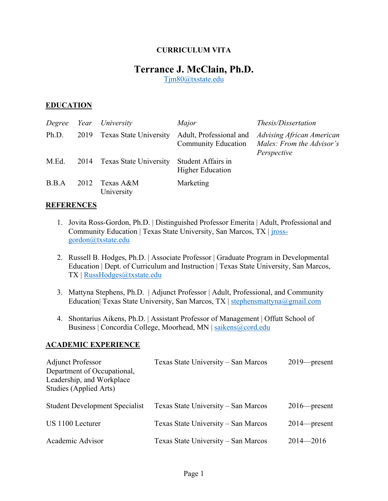### **CURRICULUM VITA**

# **Terrance J. McClain, Ph.D.**

Tjm80@txstate.edu

#### **EDUCATION**

|       |      | Degree Year University        | Major                                          | Thesis/Dissertation                                                   |
|-------|------|-------------------------------|------------------------------------------------|-----------------------------------------------------------------------|
| Ph.D. | 2019 | <b>Texas State University</b> | Adult, Professional and<br>Community Education | Advising African American<br>Males: From the Advisor's<br>Perspective |
| M.Ed. | 2014 | <b>Texas State University</b> | Student Affairs in<br><b>Higher Education</b>  |                                                                       |
| B.B.A | 2012 | Texas A&M<br>University       | Marketing                                      |                                                                       |

#### **REFERENCES**

- 1. Jovita Ross-Gordon, Ph.D. | Distinguished Professor Emerita | Adult, Professional and Community Education | Texas State University, San Marcos, TX | jrossgordon@txstate.edu
- 2. Russell B. Hodges, Ph.D. | Associate Professor | Graduate Program in Developmental Education | Dept. of Curriculum and Instruction | Texas State University, San Marcos, TX | RussHodges@txstate.edu
- 3. Mattyna Stephens, Ph.D. | Adjunct Professor | Adult, Professional, and Community Education| Texas State University, San Marcos, TX | stephensmattyna@gmail.com
- 4. Shontarius Aikens, Ph.D. | Assistant Professor of Management | Offutt School of Business | Concordia College, Moorhead, MN | saikens@cord.edu

#### **ACADEMIC EXPERIENCE**

| <b>Adjunct Professor</b><br>Department of Occupational,<br>Leadership, and Workplace<br>Studies (Applied Arts) | Texas State University – San Marcos | $2019$ -present |
|----------------------------------------------------------------------------------------------------------------|-------------------------------------|-----------------|
| <b>Student Development Specialist</b>                                                                          | Texas State University – San Marcos | $2016$ -present |
| US 1100 Lecturer                                                                                               | Texas State University – San Marcos | $2014$ -present |
| Academic Advisor                                                                                               | Texas State University - San Marcos | $2014 - 2016$   |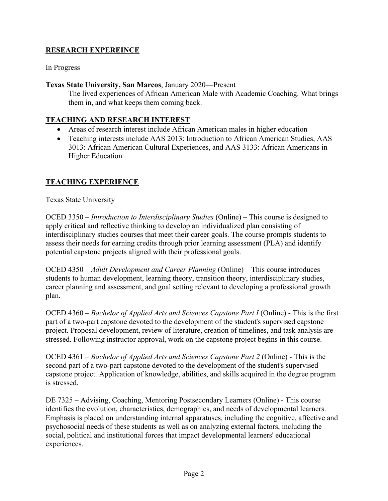# **RESEARCH EXPEREINCE**

### In Progress

### **Texas State University, San Marcos**, January 2020—Present

The lived experiences of African American Male with Academic Coaching. What brings them in, and what keeps them coming back.

# **TEACHING AND RESEARCH INTEREST**

- Areas of research interest include African American males in higher education
- Teaching interests include AAS 2013: Introduction to African American Studies, AAS 3013: African American Cultural Experiences, and AAS 3133: African Americans in Higher Education

# **TEACHING EXPERIENCE**

#### Texas State University

OCED 3350 – *Introduction to Interdisciplinary Studies* (Online) – This course is designed to apply critical and reflective thinking to develop an individualized plan consisting of interdisciplinary studies courses that meet their career goals. The course prompts students to assess their needs for earning credits through prior learning assessment (PLA) and identify potential capstone projects aligned with their professional goals.

OCED 4350 – *Adult Development and Career Planning* (Online) – This course introduces students to human development, learning theory, transition theory, interdisciplinary studies, career planning and assessment, and goal setting relevant to developing a professional growth plan.

OCED 4360 – *Bachelor of Applied Arts and Sciences Capstone Part I* (Online) - This is the first part of a two-part capstone devoted to the development of the student's supervised capstone project. Proposal development, review of literature, creation of timelines, and task analysis are stressed. Following instructor approval, work on the capstone project begins in this course.

OCED 4361 – *Bachelor of Applied Arts and Sciences Capstone Part 2* (Online) *-* This is the second part of a two-part capstone devoted to the development of the student's supervised capstone project. Application of knowledge, abilities, and skills acquired in the degree program is stressed.

DE 7325 – Advising, Coaching, Mentoring Postsecondary Learners (Online) - This course identifies the evolution, characteristics, demographics, and needs of developmental learners. Emphasis is placed on understanding internal apparatuses, including the cognitive, affective and psychosocial needs of these students as well as on analyzing external factors, including the social, political and institutional forces that impact developmental learners' educational experiences.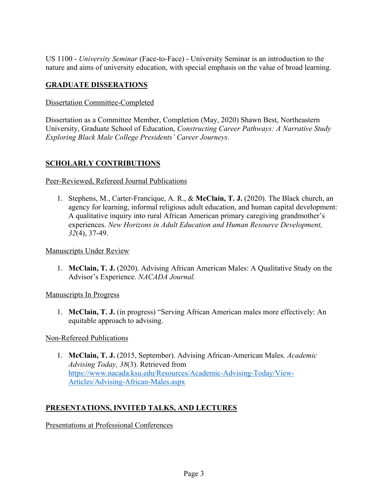US 1100 - *University Seminar* (Face-to-Face) - University Seminar is an introduction to the nature and aims of university education, with special emphasis on the value of broad learning.

# **GRADUATE DISSERATIONS**

# Dissertation Committee-Completed

Dissertation as a Committee Member, Completion (May, 2020) Shawn Best, Northeastern University, Graduate School of Education, *Constructing Career Pathways: A Narrative Study Exploring Black Male College Presidents' Career Journeys*.

# **SCHOLARLY CONTRIBUTIONS**

### Peer-Reviewed, Refereed Journal Publications

1. Stephens, M., Carter-Francique, A. R., & **McClain, T. J.** (2020). The Black church, an agency for learning, informal religious adult education, and human capital development: A qualitative inquiry into rural African American primary caregiving grandmother's experiences. *New Horizons in Adult Education and Human Resource Development, 32*(4), 37-49.

Manuscripts Under Review

1. **McClain, T. J.** (2020). Advising African American Males: A Qualitative Study on the Advisor's Experience. *NACADA Journal.* 

Manuscripts In Progress

1. **McClain, T. J.** (in progress) "Serving African American males more effectively: An equitable approach to advising.

Non-Refereed Publications

1. **McClain, T. J.** (2015, September). Advising African-American Males. *Academic Advising Today, 38*(3). Retrieved from https://www.nacada.ksu.edu/Resources/Academic-Advising-Today/View-Articles/Advising-African-Males.aspx

# **PRESENTATIONS, INVITED TALKS, AND LECTURES**

Presentations at Professional Conferences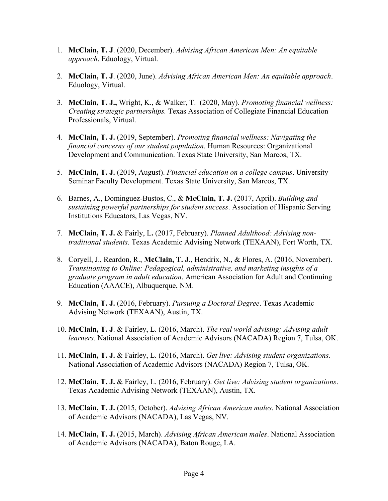- 1. **McClain, T. J**. (2020, December). *Advising African American Men: An equitable approach*. Eduology, Virtual.
- 2. **McClain, T. J**. (2020, June). *Advising African American Men: An equitable approach*. Eduology, Virtual.
- 3. **McClain, T. J.,** Wright, K., & Walker, T. (2020, May). *Promoting financial wellness: Creating strategic partnerships.* Texas Association of Collegiate Financial Education Professionals, Virtual.
- 4. **McClain, T. J.** (2019, September). *Promoting financial wellness: Navigating the financial concerns of our student population*. Human Resources: Organizational Development and Communication. Texas State University, San Marcos, TX.
- 5. **McClain, T. J.** (2019, August). *Financial education on a college campus*. University Seminar Faculty Development. Texas State University, San Marcos, TX.
- 6. Barnes, A., Dominguez-Bustos, C., & **McClain, T. J.** (2017, April). *Building and sustaining powerful partnerships for student success*. Association of Hispanic Serving Institutions Educators, Las Vegas, NV.
- 7. **McClain, T. J.** & Fairly, L**.** (2017, February). *Planned Adulthood: Advising nontraditional students*. Texas Academic Advising Network (TEXAAN), Fort Worth, TX.
- 8. Coryell, J., Reardon, R., **McClain, T. J**., Hendrix, N., & Flores, A. (2016, November). *Transitioning to Online: Pedagogical, administrative, and marketing insights of a graduate program in adult education*. American Association for Adult and Continuing Education (AAACE), Albuquerque, NM.
- 9. **McClain, T. J.** (2016, February). *Pursuing a Doctoral Degree*. Texas Academic Advising Network (TEXAAN), Austin, TX.
- 10. **McClain, T. J**. & Fairley, L. (2016, March). *The real world advising: Advising adult learners*. National Association of Academic Advisors (NACADA) Region 7, Tulsa, OK.
- 11. **McClain, T. J.** & Fairley, L. (2016, March). *Get live: Advising student organizations*. National Association of Academic Advisors (NACADA) Region 7, Tulsa, OK.
- 12. **McClain, T. J.** & Fairley, L. (2016, February). *Get live: Advising student organizations*. Texas Academic Advising Network (TEXAAN), Austin, TX.
- 13. **McClain, T. J.** (2015, October). *Advising African American males*. National Association of Academic Advisors (NACADA), Las Vegas, NV.
- 14. **McClain, T. J.** (2015, March). *Advising African American males*. National Association of Academic Advisors (NACADA), Baton Rouge, LA.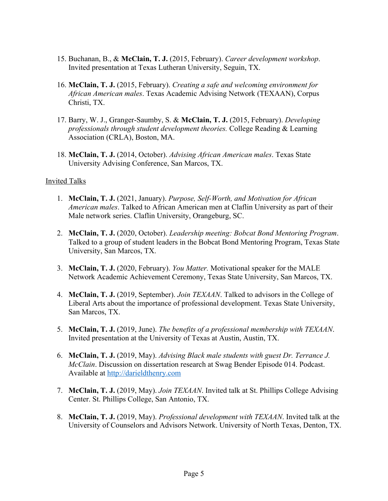- 15. Buchanan, B., & **McClain, T. J.** (2015, February). *Career development workshop*. Invited presentation at Texas Lutheran University, Seguin, TX.
- 16. **McClain, T. J.** (2015, February). *Creating a safe and welcoming environment for African American males*. Texas Academic Advising Network (TEXAAN), Corpus Christi, TX.
- 17. Barry, W. J., Granger-Saumby, S. & **McClain, T. J.** (2015, February). *Developing professionals through student development theories.* College Reading & Learning Association (CRLA), Boston, MA.
- 18. **McClain, T. J.** (2014, October). *Advising African American males*. Texas State University Advising Conference, San Marcos, TX.

#### Invited Talks

- 1. **McClain, T. J.** (2021, January). *Purpose, Self-Worth, and Motivation for African American males*. Talked to African American men at Claflin University as part of their Male network series. Claflin University, Orangeburg, SC.
- 2. **McClain, T. J.** (2020, October). *Leadership meeting: Bobcat Bond Mentoring Program*. Talked to a group of student leaders in the Bobcat Bond Mentoring Program, Texas State University, San Marcos, TX.
- 3. **McClain, T. J.** (2020, February). *You Matter.* Motivational speaker for the MALE Network Academic Achievement Ceremony, Texas State University, San Marcos, TX.
- 4. **McClain, T. J.** (2019, September). *Join TEXAAN*. Talked to advisors in the College of Liberal Arts about the importance of professional development. Texas State University, San Marcos, TX.
- 5. **McClain, T. J.** (2019, June). *The benefits of a professional membership with TEXAAN*. Invited presentation at the University of Texas at Austin, Austin, TX.
- 6. **McClain, T. J.** (2019, May). *Advising Black male students with guest Dr. Terrance J. McClain*. Discussion on dissertation research at Swag Bender Episode 014. Podcast. Available at http://darieldthenry.com
- 7. **McClain, T. J.** (2019, May). *Join TEXAAN*. Invited talk at St. Phillips College Advising Center. St. Phillips College, San Antonio, TX.
- 8. **McClain, T. J.** (2019, May). *Professional development with TEXAAN*. Invited talk at the University of Counselors and Advisors Network. University of North Texas, Denton, TX.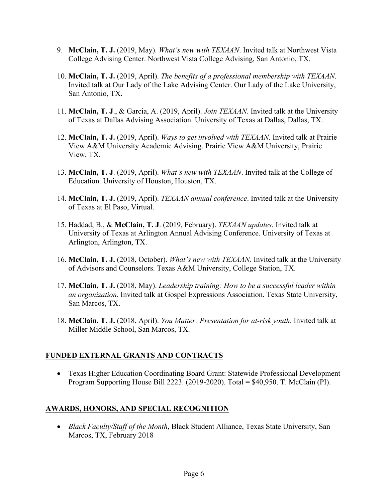- 9. **McClain, T. J.** (2019, May). *What's new with TEXAAN*. Invited talk at Northwest Vista College Advising Center. Northwest Vista College Advising, San Antonio, TX.
- 10. **McClain, T. J.** (2019, April). *The benefits of a professional membership with TEXAAN*. Invited talk at Our Lady of the Lake Advising Center. Our Lady of the Lake University, San Antonio, TX.
- 11. **McClain, T. J**., & Garcia, A. (2019, April). *Join TEXAAN*. Invited talk at the University of Texas at Dallas Advising Association. University of Texas at Dallas, Dallas, TX.
- 12. **McClain, T. J.** (2019, April). *Ways to get involved with TEXAAN.* Invited talk at Prairie View A&M University Academic Advising. Prairie View A&M University, Prairie View, TX.
- 13. **McClain, T. J**. (2019, April). *What's new with TEXAAN*. Invited talk at the College of Education. University of Houston, Houston, TX.
- 14. **McClain, T. J.** (2019, April). *TEXAAN annual conference*. Invited talk at the University of Texas at El Paso, Virtual.
- 15. Haddad, B., & **McClain, T. J**. (2019, February). *TEXAAN updates*. Invited talk at University of Texas at Arlington Annual Advising Conference. University of Texas at Arlington, Arlington, TX.
- 16. **McClain, T. J.** (2018, October). *What's new with TEXAAN.* Invited talk at the University of Advisors and Counselors. Texas A&M University, College Station, TX.
- 17. **McClain, T. J.** (2018, May). *Leadership training: How to be a successful leader within an organization*. Invited talk at Gospel Expressions Association. Texas State University, San Marcos, TX.
- 18. **McClain, T. J.** (2018, April). *You Matter: Presentation for at-risk youth*. Invited talk at Miller Middle School, San Marcos, TX.

# **FUNDED EXTERNAL GRANTS AND CONTRACTS**

• Texas Higher Education Coordinating Board Grant: Statewide Professional Development Program Supporting House Bill 2223. (2019-2020). Total = \$40,950. T. McClain (PI).

# **AWARDS, HONORS, AND SPECIAL RECOGNITION**

• *Black Faculty/Staff of the Month*, Black Student Alliance, Texas State University, San Marcos, TX, February 2018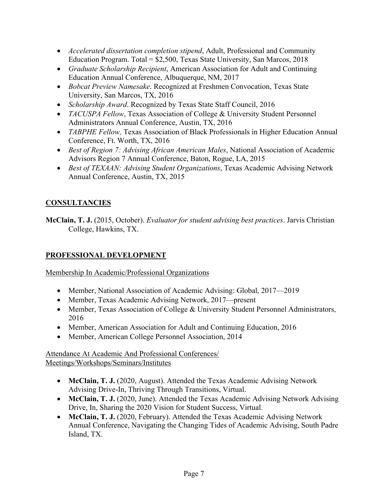- *Accelerated dissertation completion stipend*, Adult, Professional and Community Education Program. Total =  $$2,500$ , Texas State University, San Marcos, 2018
- *Graduate Scholarship Recipient*, American Association for Adult and Continuing Education Annual Conference, Albuquerque, NM, 2017
- *Bobcat Preview Namesake*. Recognized at Freshmen Convocation, Texas State University, San Marcos, TX, 2016
- *Scholarship Award*. Recognized by Texas State Staff Council, 2016
- *TACUSPA Fellow*, Texas Association of College & University Student Personnel Administrators Annual Conference, Austin, TX, 2016
- *TABPHE Fellow,* Texas Association of Black Professionals in Higher Education Annual Conference, Ft. Worth, TX, 2016
- *Best of Region 7: Advising African American Males*, National Association of Academic Advisors Region 7 Annual Conference, Baton, Rogue, LA, 2015
- *Best of TEXAAN: Advising Student Organizations*, Texas Academic Advising Network Annual Conference, Austin, TX, 2015

# **CONSULTANCIES**

**McClain, T. J.** (2015, October). *Evaluator for student advising best practices*. Jarvis Christian College, Hawkins, TX.

# **PROFESSIONAL DEVELOPMENT**

Membership In Academic/Professional Organizations

- Member, National Association of Academic Advising: Global, 2017—2019
- Member, Texas Academic Advising Network, 2017—present
- Member, Texas Association of College & University Student Personnel Administrators, 2016
- Member, American Association for Adult and Continuing Education, 2016
- Member, American College Personnel Association, 2014

### Attendance At Academic And Professional Conferences/ Meetings/Workshops/Seminars/Institutes

- **McClain, T. J.** (2020, August). Attended the Texas Academic Advising Network Advising Drive-In, Thriving Through Transitions, Virtual.
- **McClain, T. J.** (2020, June). Attended the Texas Academic Advising Network Advising Drive, In, Sharing the 2020 Vision for Student Success, Virtual.
- **McClain, T. J.** (2020, February). Attended the Texas Academic Advising Network Annual Conference, Navigating the Changing Tides of Academic Advising, South Padre Island, TX.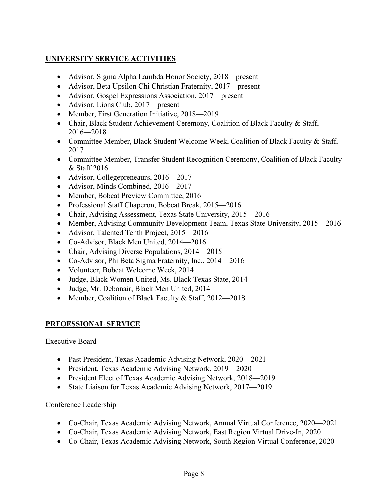# **UNIVERSITY SERVICE ACTIVITIES**

- Advisor, Sigma Alpha Lambda Honor Society, 2018—present
- Advisor, Beta Upsilon Chi Christian Fraternity, 2017—present
- Advisor, Gospel Expressions Association, 2017—present
- Advisor, Lions Club, 2017—present
- Member, First Generation Initiative, 2018—2019
- Chair, Black Student Achievement Ceremony, Coalition of Black Faculty & Staff, 2016—2018
- Committee Member, Black Student Welcome Week, Coalition of Black Faculty & Staff, 2017
- Committee Member, Transfer Student Recognition Ceremony, Coalition of Black Faculty & Staff 2016
- Advisor, Collegepreneaurs, 2016—2017
- Advisor, Minds Combined, 2016—2017
- Member, Bobcat Preview Committee, 2016
- Professional Staff Chaperon, Bobcat Break, 2015—2016
- Chair, Advising Assessment, Texas State University, 2015—2016
- Member, Advising Community Development Team, Texas State University, 2015—2016
- Advisor, Talented Tenth Project, 2015—2016
- Co-Advisor, Black Men United, 2014—2016
- Chair, Advising Diverse Populations, 2014—2015
- Co-Advisor, Phi Beta Sigma Fraternity, Inc., 2014—2016
- Volunteer, Bobcat Welcome Week, 2014
- Judge, Black Women United, Ms. Black Texas State, 2014
- Judge, Mr. Debonair, Black Men United, 2014
- Member, Coalition of Black Faculty & Staff, 2012—2018

# **PRFOESSIONAL SERVICE**

#### Executive Board

- Past President, Texas Academic Advising Network, 2020—2021
- President, Texas Academic Advising Network, 2019—2020
- President Elect of Texas Academic Advising Network, 2018—2019
- State Liaison for Texas Academic Advising Network, 2017—2019

#### Conference Leadership

- Co-Chair, Texas Academic Advising Network, Annual Virtual Conference, 2020—2021
- Co-Chair, Texas Academic Advising Network, East Region Virtual Drive-In, 2020
- Co-Chair, Texas Academic Advising Network, South Region Virtual Conference, 2020